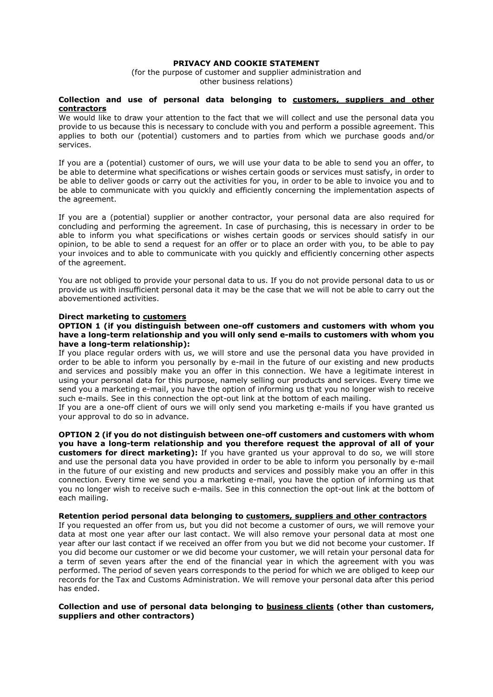# PRIVACY AND COOKIE STATEMENT

(for the purpose of customer and supplier administration and other business relations)

### Collection and use of personal data belonging to customers, suppliers and other contractors

We would like to draw your attention to the fact that we will collect and use the personal data you provide to us because this is necessary to conclude with you and perform a possible agreement. This applies to both our (potential) customers and to parties from which we purchase goods and/or services.

If you are a (potential) customer of ours, we will use your data to be able to send you an offer, to be able to determine what specifications or wishes certain goods or services must satisfy, in order to be able to deliver goods or carry out the activities for you, in order to be able to invoice you and to be able to communicate with you quickly and efficiently concerning the implementation aspects of the agreement.

If you are a (potential) supplier or another contractor, your personal data are also required for concluding and performing the agreement. In case of purchasing, this is necessary in order to be able to inform you what specifications or wishes certain goods or services should satisfy in our opinion, to be able to send a request for an offer or to place an order with you, to be able to pay your invoices and to able to communicate with you quickly and efficiently concerning other aspects of the agreement.

You are not obliged to provide your personal data to us. If you do not provide personal data to us or provide us with insufficient personal data it may be the case that we will not be able to carry out the abovementioned activities.

#### Direct marketing to customers

### OPTION 1 (if you distinguish between one-off customers and customers with whom you have a long-term relationship and you will only send e-mails to customers with whom you have a long-term relationship):

If you place regular orders with us, we will store and use the personal data you have provided in order to be able to inform you personally by e-mail in the future of our existing and new products and services and possibly make you an offer in this connection. We have a legitimate interest in using your personal data for this purpose, namely selling our products and services. Every time we send you a marketing e-mail, you have the option of informing us that you no longer wish to receive such e-mails. See in this connection the opt-out link at the bottom of each mailing.

If you are a one-off client of ours we will only send you marketing e-mails if you have granted us your approval to do so in advance.

OPTION 2 (if you do not distinguish between one-off customers and customers with whom you have a long-term relationship and you therefore request the approval of all of your **customers for direct marketing):** If you have granted us your approval to do so, we will store and use the personal data you have provided in order to be able to inform you personally by e-mail in the future of our existing and new products and services and possibly make you an offer in this connection. Every time we send you a marketing e-mail, you have the option of informing us that you no longer wish to receive such e-mails. See in this connection the opt-out link at the bottom of each mailing.

# Retention period personal data belonging to customers, suppliers and other contractors

If you requested an offer from us, but you did not become a customer of ours, we will remove your data at most one year after our last contact. We will also remove your personal data at most one year after our last contact if we received an offer from you but we did not become your customer. If you did become our customer or we did become your customer, we will retain your personal data for a term of seven years after the end of the financial year in which the agreement with you was performed. The period of seven years corresponds to the period for which we are obliged to keep our records for the Tax and Customs Administration. We will remove your personal data after this period has ended.

# Collection and use of personal data belonging to business clients (other than customers, suppliers and other contractors)